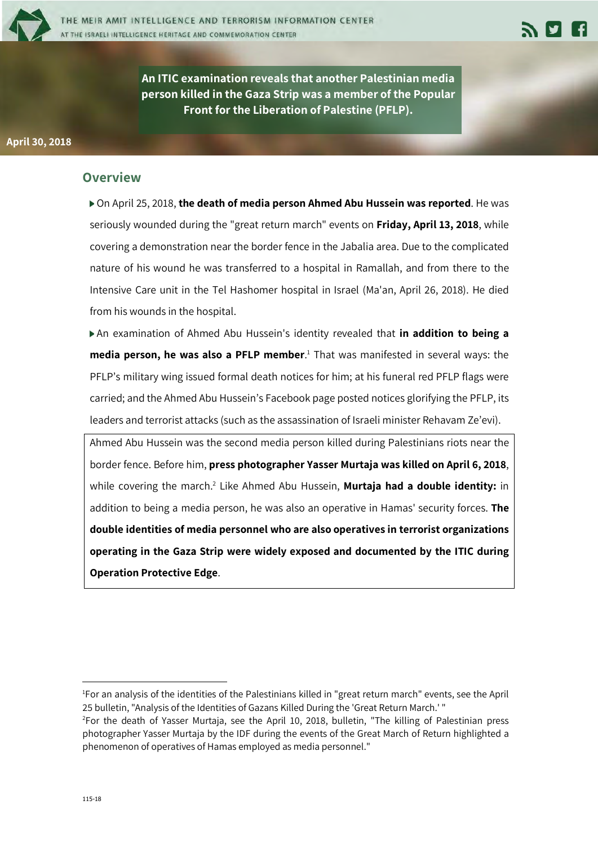

**An ITIC examination reveals that another Palestinian media person killed in the Gaza Strip was a member of the Popular Front for the Liberation of Palestine (PFLP).**

#### **Overview**

On April 25, 2018, **the death of media person Ahmed Abu Hussein was reported**. He was seriously wounded during the "great return march" events on **Friday, April 13, 2018**, while covering a demonstration near the border fence in the Jabalia area. Due to the complicated nature of his wound he was transferred to a hospital in Ramallah, and from there to the Intensive Care unit in the Tel Hashomer hospital in Israel (Ma'an, April 26, 2018). He died from his wounds in the hospital.

An examination of Ahmed Abu Hussein's identity revealed that **in addition to being a media person, he was also a PFLP member**. <sup>1</sup> That was manifested in several ways: the PFLP's military wing issued formal death notices for him; at his funeral red PFLP flags were carried; and the Ahmed Abu Hussein's Facebook page posted notices glorifying the PFLP, its leaders and terrorist attacks (such as the assassination of Israeli minister Rehavam Ze'evi).

Ahmed Abu Hussein was the second media person killed during Palestinians riots near the border fence. Before him, **press photographer Yasser Murtaja was killed on April 6, 2018**, while covering the march.2 Like Ahmed Abu Hussein, **Murtaja had a double identity:** in addition to being a media person, he was also an operative in Hamas' security forces. **The double identities of media personnel who are also operatives in terrorist organizations operating in the Gaza Strip were widely exposed and documented by the ITIC during Operation Protective Edge**.

<u>.</u>

<sup>1</sup> For an analysis of the identities of the Palestinians killed in "great return march" events, see the April 25 bulletin, "Analysis of the Identities of Gazans Killed During the 'Great Return March.' " 2

 $2$ For the death of Yasser Murtaja, see the April 10, 2018, bulletin, "The killing of Palestinian press photographer Yasser Murtaja by the IDF during the events of the Great March of Return highlighted a phenomenon of operatives of Hamas employed as media personnel."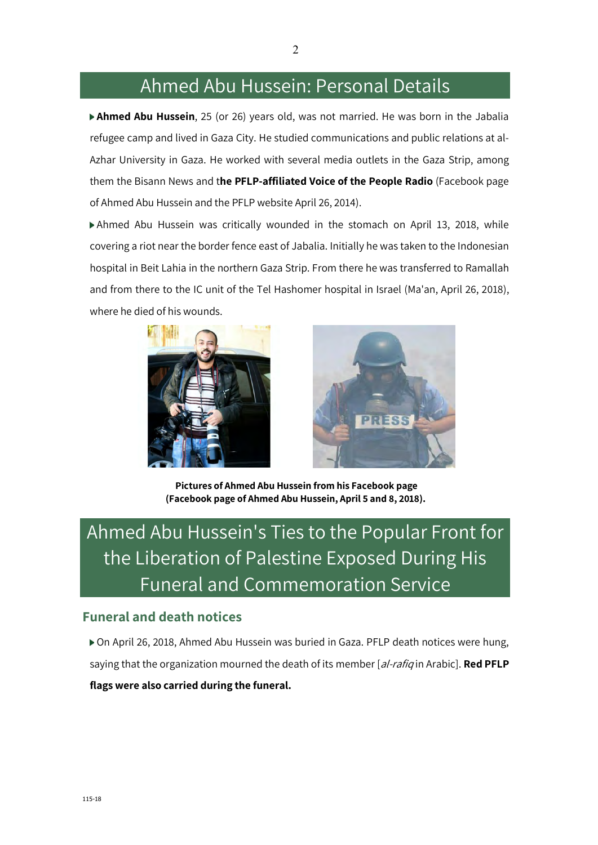### Ahmed Abu Hussein: Personal Details

**Ahmed Abu Hussein**, 25 (or 26) years old, was not married. He was born in the Jabalia refugee camp and lived in Gaza City. He studied communications and public relations at al-Azhar University in Gaza. He worked with several media outlets in the Gaza Strip, among them the Bisann News and t**he PFLP-affiliated Voice of the People Radio** (Facebook page of Ahmed Abu Hussein and the PFLP website April 26, 2014).

Ahmed Abu Hussein was critically wounded in the stomach on April 13, 2018, while covering a riot near the border fence east of Jabalia. Initially he was taken to the Indonesian hospital in Beit Lahia in the northern Gaza Strip. From there he was transferred to Ramallah and from there to the IC unit of the Tel Hashomer hospital in Israel (Ma'an, April 26, 2018), where he died of his wounds.





**Pictures of Ahmed Abu Hussein from his Facebook page (Facebook page of Ahmed Abu Hussein, April 5 and 8, 2018).**

# Ahmed Abu Hussein's Ties to the Popular Front for the Liberation of Palestine Exposed During His Funeral and Commemoration Service

### **Funeral and death notices**

On April 26, 2018, Ahmed Abu Hussein was buried in Gaza. PFLP death notices were hung, saying that the organization mourned the death of its member [al-rafiq in Arabic]. **Red PFLP flags were also carried during the funeral.**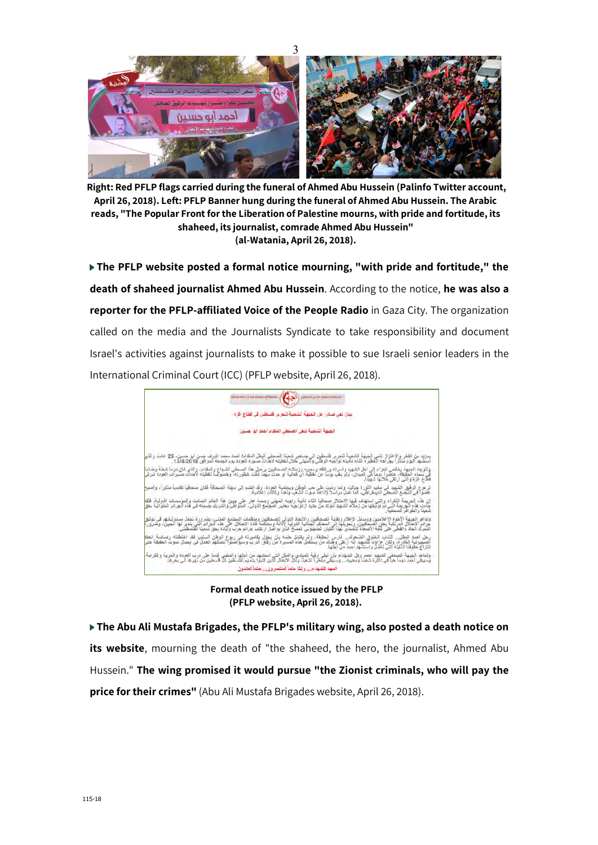

**Right: Red PFLP flags carried during the funeral of Ahmed Abu Hussein (Palinfo Twitter account, April 26, 2018). Left: PFLP Banner hung during the funeral of Ahmed Abu Hussein. The Arabic reads, "The Popular Front for the Liberation of Palestine mourns, with pride and fortitude, its shaheed, its journalist, comrade Ahmed Abu Hussein" (al-Watania, April 26, 2018).**

**The PFLP website posted a formal notice mourning, "with pride and fortitude," the death of shaheed journalist Ahmed Abu Hussein**. According to the notice, **he was also a reporter for the PFLP-affiliated Voice of the People Radio** in Gaza City. The organization called on the media and the Journalists Syndicate to take responsibility and document Israel's activities against journalists to make it possible to sue Israeli senior leaders in the International Criminal Court (ICC) (PFLP website, April 26, 2018).



**Formal death notice issued by the PFLP (PFLP website, April 26, 2018).**

**The Abu Ali Mustafa Brigades, the PFLP's military wing, also posted a death notice on**  its website, mourning the death of "the shaheed, the hero, the journalist, Ahmed Abu Hussein." **The wing promised it would pursue "the Zionist criminals, who will pay the price for their crimes"** (Abu Ali Mustafa Brigades website, April 26, 2018).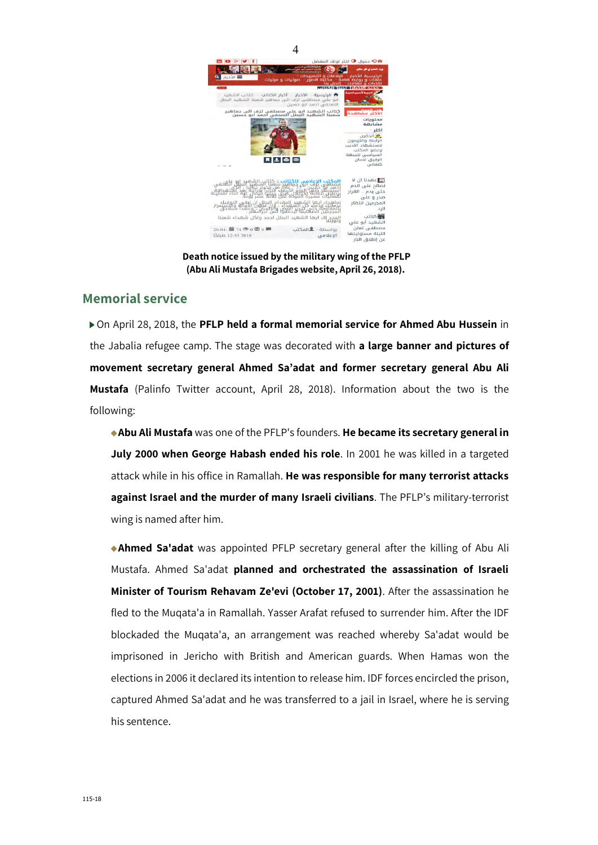

**Death notice issued by the military wing of the PFLP (Abu Ali Mustafa Brigades website, April 26, 2018).**

### **Memorial service**

On April 28, 2018, the **PFLP held a formal memorial service for Ahmed Abu Hussein** in the Jabalia refugee camp. The stage was decorated with **a large banner and pictures of movement secretary general Ahmed Sa'adat and former secretary general Abu Ali Mustafa** (Palinfo Twitter account, April 28, 2018). Information about the two is the following:

**Abu Ali Mustafa** was one of the PFLP's founders. **He became its secretary general in July 2000 when George Habash ended his role**. In 2001 he was killed in a targeted attack while in his office in Ramallah. **He was responsible for many terrorist attacks against Israel and the murder of many Israeli civilians**. The PFLP's military-terrorist wing is named after him.

**Ahmed Sa'adat** was appointed PFLP secretary general after the killing of Abu Ali Mustafa. Ahmed Sa'adat **planned and orchestrated the assassination of Israeli Minister of Tourism Rehavam Ze'evi (October 17, 2001)**. After the assassination he fled to the Muqata'a in Ramallah. Yasser Arafat refused to surrender him. After the IDF blockaded the Muqata'a, an arrangement was reached whereby Sa'adat would be imprisoned in Jericho with British and American guards. When Hamas won the elections in 2006 it declared its intention to release him. IDF forces encircled the prison, captured Ahmed Sa'adat and he was transferred to a jail in Israel, where he is serving his sentence.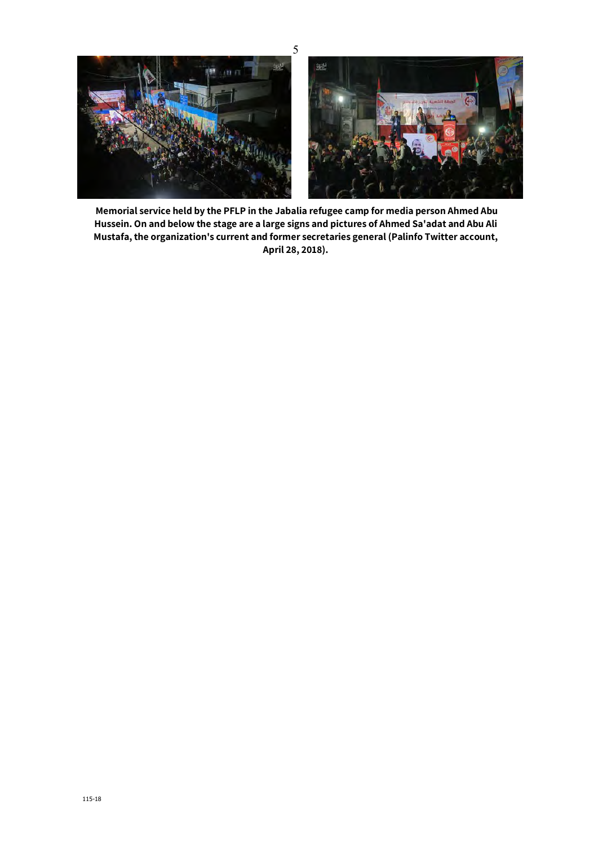

**Memorial service held by the PFLP in the Jabalia refugee camp for media person Ahmed Abu Hussein. On and below the stage are a large signs and pictures of Ahmed Sa'adat and Abu Ali Mustafa, the organization's current and former secretaries general (Palinfo Twitter account, April 28, 2018).**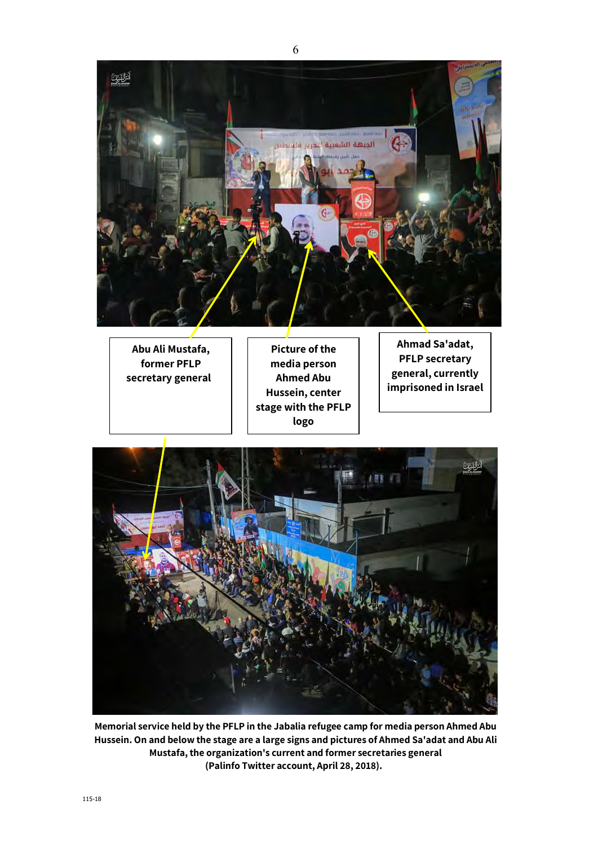

**Abu Ali Mustafa, former PFLP secretary general** 

**Picture of the media person Ahmed Abu Hussein, center stage with the PFLP logo**

**Ahmad Sa'adat, PFLP secretary general, currently imprisoned in Israel**



**Memorial service held by the PFLP in the Jabalia refugee camp for media person Ahmed Abu Hussein. On and below the stage are a large signs and pictures of Ahmed Sa'adat and Abu Ali Mustafa, the organization's current and former secretaries general (Palinfo Twitter account, April 28, 2018).**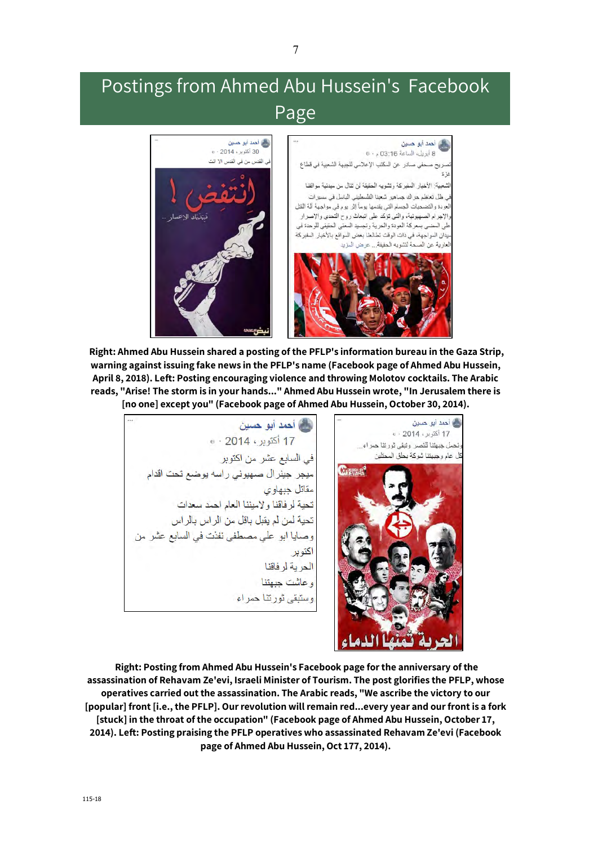## Postings from Ahmed Abu Hussein's Facebook Page



**Right: Ahmed Abu Hussein shared a posting of the PFLP's information bureau in the Gaza Strip, warning against issuing fake news in the PFLP's name (Facebook page of Ahmed Abu Hussein, April 8, 2018). Left: Posting encouraging violence and throwing Molotov cocktails. The Arabic reads, "Arise! The storm is in your hands..." Ahmed Abu Hussein wrote, "In Jerusalem there is [no one] except you" (Facebook page of Ahmed Abu Hussein, October 30, 2014).**

**کے احمد ابو حسین** 

کے احمد ابو حسین 17 أكتوبر، 2014 - ه لحمل جبهتنا للنصر وتبقى ثورتنا حمراء... ئل عام وجبهتنا شوكة بحلق المحتلين في السابع عشر من اكتوبر Chronol ميجر جينرال صهيوني راسه يوضع تحت اقدام مقاتل جبهاوی تحية لر فاقنا والإميننا العام احمد سعدات تحية لمن لم يقبل باقل من الراس بالراس وصايا ابو على مصطفى نفذت في السابع عشر من اكتوبر الحربة لرفاقنا وعاشت جبهتنا وستبقى ثورتنا حمراء

**Right: Posting from Ahmed Abu Hussein's Facebook page for the anniversary of the assassination of Rehavam Ze'evi, Israeli Minister of Tourism. The post glorifies the PFLP, whose operatives carried out the assassination. The Arabic reads, "We ascribe the victory to our [popular] front [i.e., the PFLP]. Our revolution will remain red...every year and our front is a fork [stuck] in the throat of the occupation" (Facebook page of Ahmed Abu Hussein, October 17, 2014). Left: Posting praising the PFLP operatives who assassinated Rehavam Ze'evi (Facebook page of Ahmed Abu Hussein, Oct 177, 2014).**